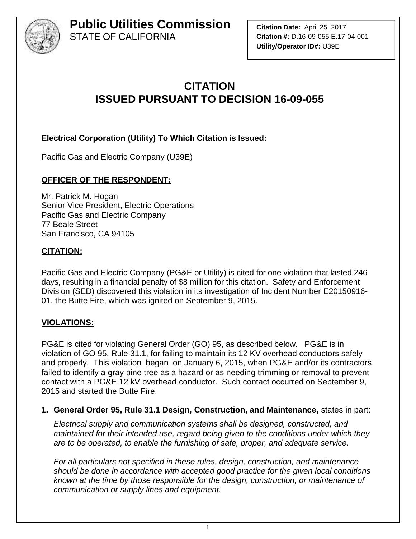

**Citation Date:** April 25, 2017 **Citation #:** D.16-09-055 E.17-04-001 **Utility/Operator ID#:** U39E

## **CITATION ISSUED PURSUANT TO DECISION 16-09-055**

#### **Electrical Corporation (Utility) To Which Citation is Issued:**

Pacific Gas and Electric Company (U39E)

#### **OFFICER OF THE RESPONDENT:**

Mr. Patrick M. Hogan Senior Vice President, Electric Operations Pacific Gas and Electric Company 77 Beale Street San Francisco, CA 94105

#### **CITATION:**

Pacific Gas and Electric Company (PG&E or Utility) is cited for one violation that lasted 246 days, resulting in a financial penalty of \$8 million for this citation. Safety and Enforcement Division (SED) discovered this violation in its investigation of Incident Number E20150916- 01, the Butte Fire, which was ignited on September 9, 2015.

#### **VIOLATIONS:**

PG&E is cited for violating General Order (GO) 95, as described below. PG&E is in violation of GO 95, Rule 31.1, for failing to maintain its 12 KV overhead conductors safely and properly. This violation began on January 6, 2015, when PG&E and/or its contractors failed to identify a gray pine tree as a hazard or as needing trimming or removal to prevent contact with a PG&E 12 kV overhead conductor. Such contact occurred on September 9, 2015 and started the Butte Fire.

#### **1. General Order 95, Rule 31.1 Design, Construction, and Maintenance,** states in part:

*Electrical supply and communication systems shall be designed, constructed, and maintained for their intended use, regard being given to the conditions under which they are to be operated, to enable the furnishing of safe, proper, and adequate service.*

*For all particulars not specified in these rules, design, construction, and maintenance should be done in accordance with accepted good practice for the given local conditions known at the time by those responsible for the design, construction, or maintenance of communication or supply lines and equipment.*

1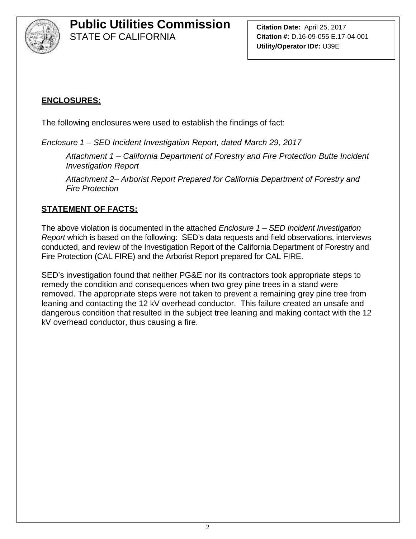

**Citation Date:** April 25, 2017 **Citation #:** D.16-09-055 E.17-04-001 **Utility/Operator ID#:** U39E

### **ENCLOSURES:**

The following enclosures were used to establish the findings of fact:

*Enclosure 1 – SED Incident Investigation Report, dated March 29, 2017*

*Attachment 1 – California Department of Forestry and Fire Protection Butte Incident Investigation Report*

*Attachment 2– Arborist Report Prepared for California Department of Forestry and Fire Protection*

#### **STATEMENT OF FACTS:**

The above violation is documented in the attached *Enclosure 1 – SED Incident Investigation Report* which is based on the following: SED's data requests and field observations, interviews conducted, and review of the Investigation Report of the California Department of Forestry and Fire Protection (CAL FIRE) and the Arborist Report prepared for CAL FIRE.

SED's investigation found that neither PG&E nor its contractors took appropriate steps to remedy the condition and consequences when two grey pine trees in a stand were removed. The appropriate steps were not taken to prevent a remaining grey pine tree from leaning and contacting the 12 kV overhead conductor. This failure created an unsafe and dangerous condition that resulted in the subject tree leaning and making contact with the 12 kV overhead conductor, thus causing a fire.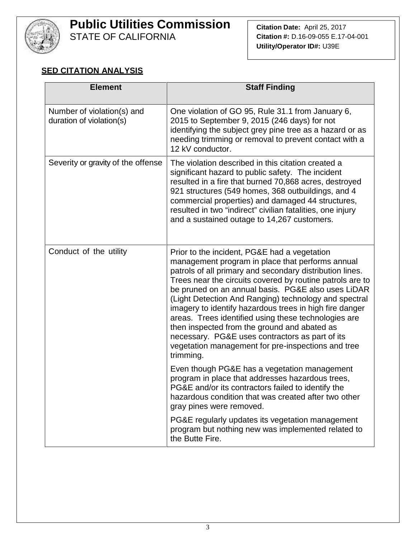

# **Public Utilities Commission**

STATE OF CALIFORNIA

**Citation Date:** April 25, 2017 **Citation #:** D.16-09-055 E.17-04-001 **Utility/Operator ID#:** U39E

#### **SED CITATION ANALYSIS**

| <b>Element</b>                                         | <b>Staff Finding</b>                                                                                                                                                                                                                                                                                                                                                                                                                                                                                                                                                                                                              |
|--------------------------------------------------------|-----------------------------------------------------------------------------------------------------------------------------------------------------------------------------------------------------------------------------------------------------------------------------------------------------------------------------------------------------------------------------------------------------------------------------------------------------------------------------------------------------------------------------------------------------------------------------------------------------------------------------------|
| Number of violation(s) and<br>duration of violation(s) | One violation of GO 95, Rule 31.1 from January 6,<br>2015 to September 9, 2015 (246 days) for not<br>identifying the subject grey pine tree as a hazard or as<br>needing trimming or removal to prevent contact with a<br>12 kV conductor.                                                                                                                                                                                                                                                                                                                                                                                        |
| Severity or gravity of the offense                     | The violation described in this citation created a<br>significant hazard to public safety. The incident<br>resulted in a fire that burned 70,868 acres, destroyed<br>921 structures (549 homes, 368 outbuildings, and 4<br>commercial properties) and damaged 44 structures,<br>resulted in two "indirect" civilian fatalities, one injury<br>and a sustained outage to 14,267 customers.                                                                                                                                                                                                                                         |
| Conduct of the utility                                 | Prior to the incident, PG&E had a vegetation<br>management program in place that performs annual<br>patrols of all primary and secondary distribution lines.<br>Trees near the circuits covered by routine patrols are to<br>be pruned on an annual basis. PG&E also uses LiDAR<br>(Light Detection And Ranging) technology and spectral<br>imagery to identify hazardous trees in high fire danger<br>areas. Trees identified using these technologies are<br>then inspected from the ground and abated as<br>necessary. PG&E uses contractors as part of its<br>vegetation management for pre-inspections and tree<br>trimming. |
|                                                        | Even though PG&E has a vegetation management<br>program in place that addresses hazardous trees,<br>PG&E and/or its contractors failed to identify the<br>hazardous condition that was created after two other<br>gray pines were removed.                                                                                                                                                                                                                                                                                                                                                                                        |
|                                                        | PG&E regularly updates its vegetation management<br>program but nothing new was implemented related to<br>the Butte Fire.                                                                                                                                                                                                                                                                                                                                                                                                                                                                                                         |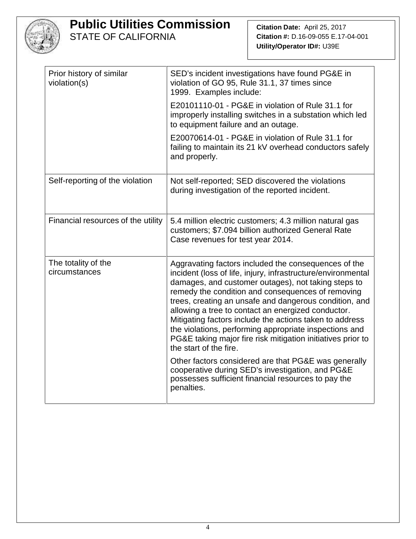

**Citation Date:** April 25, 2017 **Citation #:** D.16-09-055 E.17-04-001 **Utility/Operator ID#:** U39E

| Prior history of similar<br>violation(s) | SED's incident investigations have found PG&E in<br>violation of GO 95, Rule 31.1, 37 times since<br>1999. Examples include:                                                                                                                                                                                                                                                                                                                                                                                                                                   |
|------------------------------------------|----------------------------------------------------------------------------------------------------------------------------------------------------------------------------------------------------------------------------------------------------------------------------------------------------------------------------------------------------------------------------------------------------------------------------------------------------------------------------------------------------------------------------------------------------------------|
|                                          | E20101110-01 - PG&E in violation of Rule 31.1 for<br>improperly installing switches in a substation which led<br>to equipment failure and an outage.                                                                                                                                                                                                                                                                                                                                                                                                           |
|                                          | E20070614-01 - PG&E in violation of Rule 31.1 for<br>failing to maintain its 21 kV overhead conductors safely<br>and properly.                                                                                                                                                                                                                                                                                                                                                                                                                                 |
| Self-reporting of the violation          | Not self-reported; SED discovered the violations<br>during investigation of the reported incident.                                                                                                                                                                                                                                                                                                                                                                                                                                                             |
| Financial resources of the utility       | 5.4 million electric customers; 4.3 million natural gas<br>customers; \$7.094 billion authorized General Rate<br>Case revenues for test year 2014.                                                                                                                                                                                                                                                                                                                                                                                                             |
| The totality of the<br>circumstances     | Aggravating factors included the consequences of the<br>incident (loss of life, injury, infrastructure/environmental<br>damages, and customer outages), not taking steps to<br>remedy the condition and consequences of removing<br>trees, creating an unsafe and dangerous condition, and<br>allowing a tree to contact an energized conductor.<br>Mitigating factors include the actions taken to address<br>the violations, performing appropriate inspections and<br>PG&E taking major fire risk mitigation initiatives prior to<br>the start of the fire. |
|                                          | Other factors considered are that PG&E was generally<br>cooperative during SED's investigation, and PG&E<br>possesses sufficient financial resources to pay the<br>penalties.                                                                                                                                                                                                                                                                                                                                                                                  |
|                                          |                                                                                                                                                                                                                                                                                                                                                                                                                                                                                                                                                                |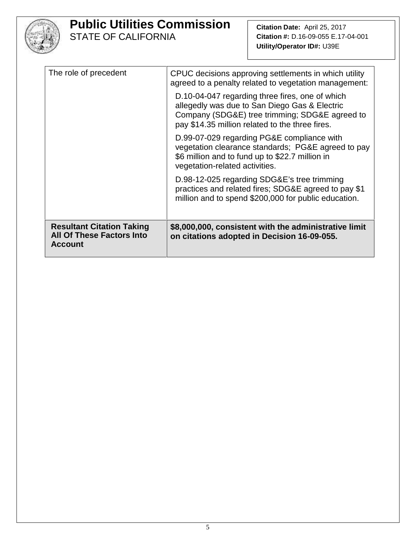

**Citation Date:** April 25, 2017 **Citation #:** D.16-09-055 E.17-04-001 **Utility/Operator ID#:** U39E

| The role of precedent                                                           | CPUC decisions approving settlements in which utility<br>agreed to a penalty related to vegetation management:<br>D.10-04-047 regarding three fires, one of which                     |
|---------------------------------------------------------------------------------|---------------------------------------------------------------------------------------------------------------------------------------------------------------------------------------|
|                                                                                 | allegedly was due to San Diego Gas & Electric<br>Company (SDG&E) tree trimming; SDG&E agreed to<br>pay \$14.35 million related to the three fires.                                    |
|                                                                                 | D.99-07-029 regarding PG&E compliance with<br>vegetation clearance standards; PG&E agreed to pay<br>\$6 million and to fund up to \$22.7 million in<br>vegetation-related activities. |
|                                                                                 | D.98-12-025 regarding SDG&E's tree trimming<br>practices and related fires; SDG&E agreed to pay \$1<br>million and to spend \$200,000 for public education.                           |
| <b>Resultant Citation Taking</b><br>All Of These Factors Into<br><b>Account</b> | \$8,000,000, consistent with the administrative limit<br>on citations adopted in Decision 16-09-055.                                                                                  |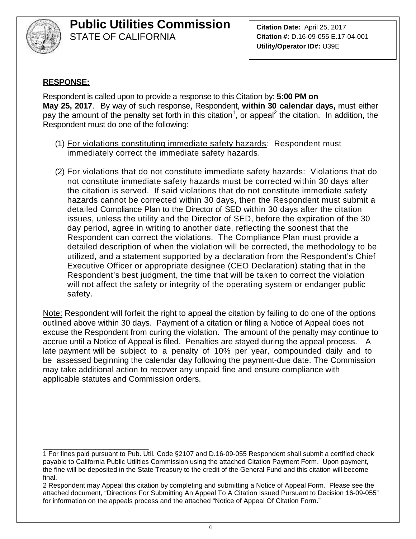

**Citation Date:** April 25, 2017 **Citation #:** D.16-09-055 E.17-04-001 **Utility/Operator ID#:** U39E

#### **RESPONSE:**

Respondent is called upon to provide a response to this Citation by: **5:00 PM on May 25, 2017**. By way of such response, Respondent, **within 30 calendar days,** must either pay the amount of the penalty set forth in this citation<sup>1</sup>, or appeal<sup>2</sup> the citation. In addition, the Respondent must do one of the following:

- (1) For violations constituting immediate safety hazards: Respondent must immediately correct the immediate safety hazards.
- (2) For violations that do not constitute immediate safety hazards: Violations that do not constitute immediate safety hazards must be corrected within 30 days after the citation is served. If said violations that do not constitute immediate safety hazards cannot be corrected within 30 days, then the Respondent must submit a detailed Compliance Plan to the Director of SED within 30 days after the citation issues, unless the utility and the Director of SED, before the expiration of the 30 day period, agree in writing to another date, reflecting the soonest that the Respondent can correct the violations. The Compliance Plan must provide a detailed description of when the violation will be corrected, the methodology to be utilized, and a statement supported by a declaration from the Respondent's Chief Executive Officer or appropriate designee (CEO Declaration) stating that in the Respondent's best judgment, the time that will be taken to correct the violation will not affect the safety or integrity of the operating system or endanger public safety.

Note: Respondent will forfeit the right to appeal the citation by failing to do one of the options outlined above within 30 days. Payment of a citation or filing a Notice of Appeal does not excuse the Respondent from curing the violation. The amount of the penalty may continue to accrue until a Notice of Appeal is filed. Penalties are stayed during the appeal process. A late payment will be subject to a penalty of 10% per year, compounded daily and to be assessed beginning the calendar day following the payment-due date. The Commission may take additional action to recover any unpaid fine and ensure compliance with applicable statutes and Commission orders.

\_\_\_\_\_\_\_\_\_\_\_\_\_\_\_\_\_\_\_\_\_\_\_\_\_\_\_\_ 1 For fines paid pursuant to Pub. Util. Code §2107 and D.16-09-055 Respondent shall submit a certified check payable to California Public Utilities Commission using the attached Citation Payment Form. Upon payment, the fine will be deposited in the State Treasury to the credit of the General Fund and this citation will become final.

<sup>2</sup> Respondent may Appeal this citation by completing and submitting a Notice of Appeal Form. Please see the attached document, "Directions For Submitting An Appeal To A Citation Issued Pursuant to Decision 16-09-055" for information on the appeals process and the attached "Notice of Appeal Of Citation Form."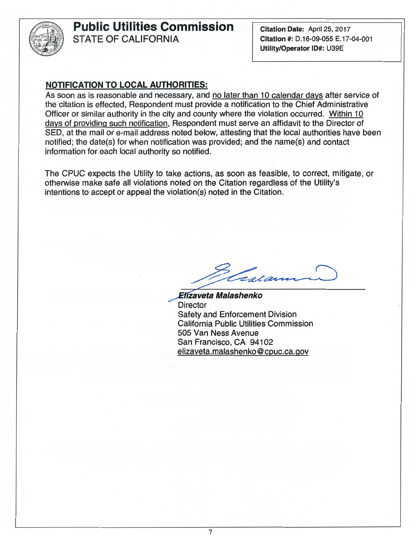

Citation Date: April 25, 2017 Citation#: D.16-09-055 E.17-04-001 Utility/Operator ID#: U39E

#### NOTIFICATION TO LOCAL AUTHORITIES:

As soon as is reasonable and necessary, and no later than 10 calendar days after service of the citation is effected, Respondent must provide a notification to the Chief Administrative Officer or similar authority in the city and county where the violation occurred. Within 10 days of providing such notification, Respondent must serve an affidavit to the Director of SEO, at the mail or e-mail address noted below, attesting that the local authorities have been notified; the date(s) for when notification was provided; and the name(s) and contact information for each local authority so notified.

The CPUC expects the Utility to take actions, as soon as feasible, to correct, mitigate, or otherwise make safe all violations noted on the Citation regardless of the Utility's intentions to accept or appeal the violation(s) noted in the Citation.

*~vets Malashenko*  **Director** Safety and Enforcement Division California Public Utilities Commission 505 Van Ness Avenue San Francisco, CA 94102 elizaveta.malashenko@cpuc.ca.gov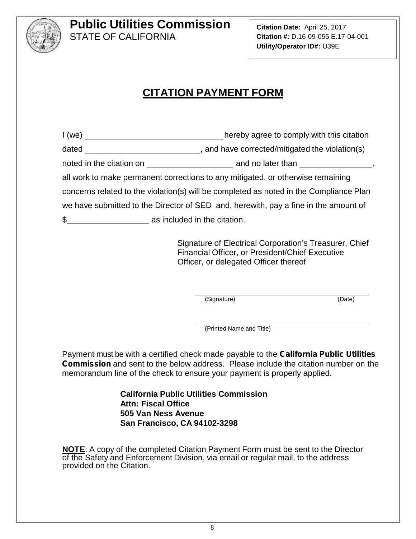

**Citation Date:** April 25, 2017 **Citation #:** D.16-09-055 E.17-04-001 **Utility/Operator ID#:** U39E

## **CITATION PAYMENT FORM**

I (we) \_\_\_\_\_\_\_\_\_\_\_\_\_\_\_\_\_\_\_\_\_\_\_\_\_\_\_\_\_\_\_\_\_\_hereby agree to comply with this citation dated , and have corrected/mitigated the violation(s) noted in the citation on and no later than , all work to make permanent corrections to any mitigated, or otherwise remaining concerns related to the violation(s) will be completed as noted in the Compliance Plan we have submitted to the Director of SED and, herewith, pay a fine in the amount of

\$ as included in the citation.

Signature of Electrical Corporation's Treasurer, Chief Financial Officer, or President/Chief Executive Officer, or delegated Officer thereof

(Signature) (Date)

(Printed Name and Title)

Payment must be with a certified check made payable to the *California Public Utilities Commission* and sent to the below address. Please include the citation number on the memorandum line of the check to ensure your payment is properly applied.

> **California Public Utilities Commission Attn: Fiscal Office 505 Van Ness Avenue San Francisco, CA 94102-3298**

**NOTE**: A copy of the completed Citation Payment Form must be sent to the Director of the Safety and Enforcement Division, via email or regular mail, to the address provided on the Citation.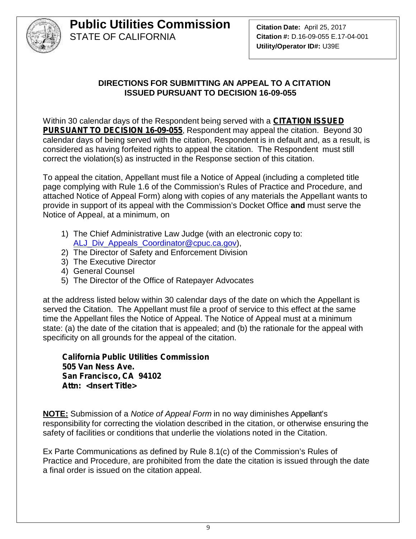

#### **DIRECTIONS FOR SUBMITTING AN APPEAL TO A CITATION ISSUED PURSUANT TO DECISION 16-09-055**

Within 30 calendar days of the Respondent being served with a *CITATION ISSUED PURSUANT TO DECISION 16-09-055*, Respondent may appeal the citation. Beyond 30 calendar days of being served with the citation, Respondent is in default and, as a result, is considered as having forfeited rights to appeal the citation. The Respondent must still correct the violation(s) as instructed in the Response section of this citation.

To appeal the citation, Appellant must file a Notice of Appeal (including a completed title page complying with Rule 1.6 of the Commission's Rules of Practice and Procedure, and attached Notice of Appeal Form) along with copies of any materials the Appellant wants to provide in support of its appeal with the Commission's Docket Office **and** must serve the Notice of Appeal, at a minimum, on

- 1) The Chief Administrative Law Judge (with an electronic copy to: ALJ\_Div\_Appeals\_Coordinator@cpuc.ca.gov),
- 2) The Director of Safety and Enforcement Division
- 3) The Executive Director
- 4) General Counsel
- 5) The Director of the Office of Ratepayer Advocates

at the address listed below within 30 calendar days of the date on which the Appellant is served the Citation. The Appellant must file a proof of service to this effect at the same time the Appellant files the Notice of Appeal. The Notice of Appeal must at a minimum state: (a) the date of the citation that is appealed; and (b) the rationale for the appeal with specificity on all grounds for the appeal of the citation.

*California Public Utilities Commission 505 Van Ness Ave. San Francisco, CA 94102 Attn: <Insert Title>*

**NOTE:** Submission of a *Notice of Appeal Form* in no way diminishes Appellant's responsibility for correcting the violation described in the citation, or otherwise ensuring the safety of facilities or conditions that underlie the violations noted in the Citation.

Ex Parte Communications as defined by Rule 8.1(c) of the Commission's Rules of Practice and Procedure, are prohibited from the date the citation is issued through the date a final order is issued on the citation appeal.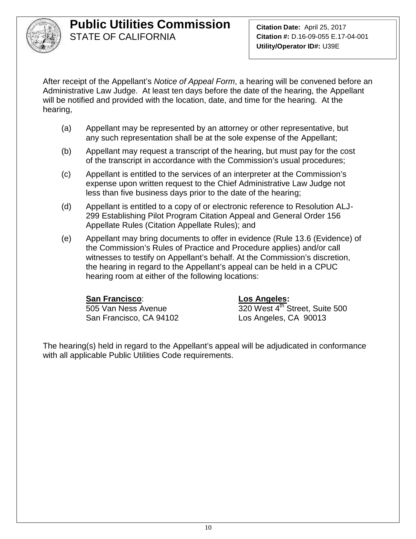

After receipt of the Appellant's *Notice of Appeal Form*, a hearing will be convened before an Administrative Law Judge. At least ten days before the date of the hearing, the Appellant will be notified and provided with the location, date, and time for the hearing. At the hearing,

- (a) Appellant may be represented by an attorney or other representative, but any such representation shall be at the sole expense of the Appellant;
- (b) Appellant may request a transcript of the hearing, but must pay for the cost of the transcript in accordance with the Commission's usual procedures;
- (c) Appellant is entitled to the services of an interpreter at the Commission's expense upon written request to the Chief Administrative Law Judge not less than five business days prior to the date of the hearing;
- (d) Appellant is entitled to a copy of or electronic reference to Resolution ALJ- 299 Establishing Pilot Program Citation Appeal and General Order 156 Appellate Rules (Citation Appellate Rules); and
- (e) Appellant may bring documents to offer in evidence (Rule 13.6 (Evidence) of the Commission's Rules of Practice and Procedure applies) and/or call witnesses to testify on Appellant's behalf. At the Commission's discretion, the hearing in regard to the Appellant's appeal can be held in a CPUC hearing room at either of the following locations:

#### **San Francisco**: **Los Angeles:**

San Francisco, CA 94102 Los Angeles, CA 90013

505 Van Ness Avenue 320 West 4<sup>th</sup> Street, Suite 500

The hearing(s) held in regard to the Appellant's appeal will be adjudicated in conformance with all applicable Public Utilities Code requirements.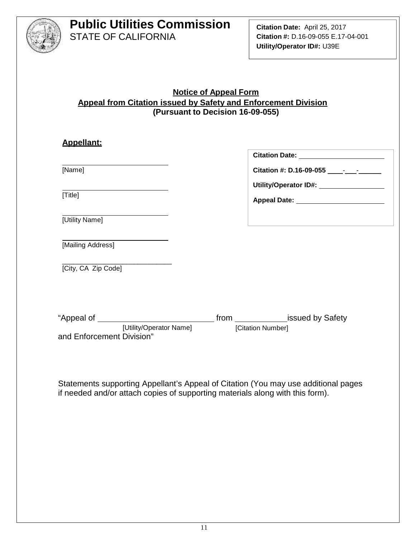

#### **Notice of Appeal Form Appeal from Citation issued by Safety and Enforcement Division (Pursuant to Decision 16-09-055)**

| <b>Appellant:</b>                                    |                                                                                  |
|------------------------------------------------------|----------------------------------------------------------------------------------|
|                                                      | Citation Date: ________________________                                          |
| [Name]                                               |                                                                                  |
|                                                      | Utility/Operator ID#: \\square\\sqrtD#: \\sqrtD#!\sqrtD#!\\sqrtD#!\sqrtD#!\sqrtD |
| [Title]                                              |                                                                                  |
| [Utility Name]                                       |                                                                                  |
| [Mailing Address]                                    |                                                                                  |
| [City, CA Zip Code]                                  |                                                                                  |
|                                                      |                                                                                  |
|                                                      |                                                                                  |
| [Utility/Operator Name]<br>and Enforcement Division" | [Citation Number]                                                                |
|                                                      |                                                                                  |

Statements supporting Appellant's Appeal of Citation (You may use additional pages if needed and/or attach copies of supporting materials along with this form).